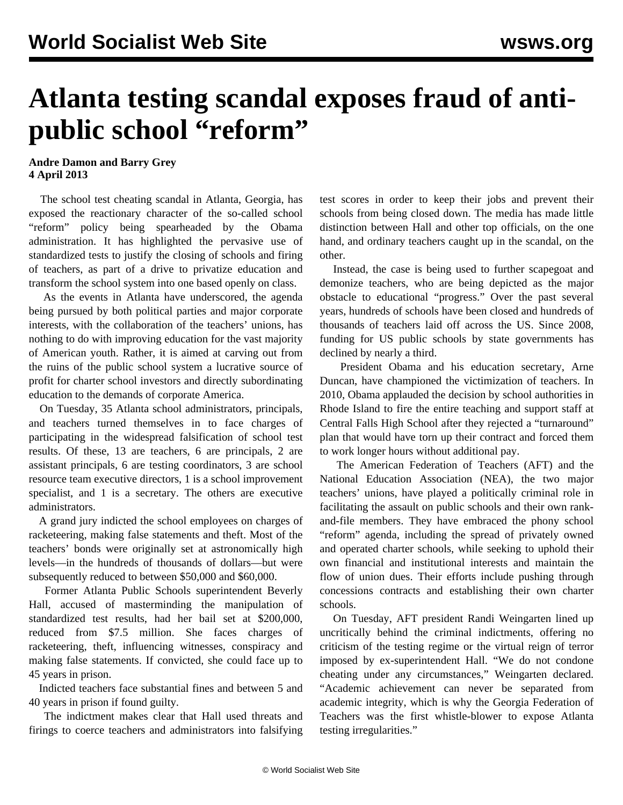## **Atlanta testing scandal exposes fraud of antipublic school "reform"**

## **Andre Damon and Barry Grey 4 April 2013**

 The school test cheating scandal in Atlanta, Georgia, has exposed the reactionary character of the so-called school "reform" policy being spearheaded by the Obama administration. It has highlighted the pervasive use of standardized tests to justify the closing of schools and firing of teachers, as part of a drive to privatize education and transform the school system into one based openly on class.

 As the events in Atlanta have underscored, the agenda being pursued by both political parties and major corporate interests, with the collaboration of the teachers' unions, has nothing to do with improving education for the vast majority of American youth. Rather, it is aimed at carving out from the ruins of the public school system a lucrative source of profit for charter school investors and directly subordinating education to the demands of corporate America.

 On Tuesday, 35 Atlanta school administrators, principals, and teachers turned themselves in to face charges of participating in the widespread falsification of school test results. Of these, 13 are teachers, 6 are principals, 2 are assistant principals, 6 are testing coordinators, 3 are school resource team executive directors, 1 is a school improvement specialist, and 1 is a secretary. The others are executive administrators.

 A grand jury indicted the school employees on charges of racketeering, making false statements and theft. Most of the teachers' bonds were originally set at astronomically high levels—in the hundreds of thousands of dollars—but were subsequently reduced to between \$50,000 and \$60,000.

 Former Atlanta Public Schools superintendent Beverly Hall, accused of masterminding the manipulation of standardized test results, had her bail set at \$200,000, reduced from \$7.5 million. She faces charges of racketeering, theft, influencing witnesses, conspiracy and making false statements. If convicted, she could face up to 45 years in prison.

 Indicted teachers face substantial fines and between 5 and 40 years in prison if found guilty.

 The indictment makes clear that Hall used threats and firings to coerce teachers and administrators into falsifying test scores in order to keep their jobs and prevent their schools from being closed down. The media has made little distinction between Hall and other top officials, on the one hand, and ordinary teachers caught up in the scandal, on the other.

 Instead, the case is being used to further scapegoat and demonize teachers, who are being depicted as the major obstacle to educational "progress." Over the past several years, hundreds of schools have been closed and hundreds of thousands of teachers laid off across the US. Since 2008, funding for US public schools by state governments has declined by nearly a third.

 President Obama and his education secretary, Arne Duncan, have championed the victimization of teachers. In 2010, Obama applauded the decision by school authorities in Rhode Island to fire the entire teaching and support staff at Central Falls High School after they rejected a "turnaround" plan that would have torn up their contract and forced them to work longer hours without additional pay.

 The American Federation of Teachers (AFT) and the National Education Association (NEA), the two major teachers' unions, have played a politically criminal role in facilitating the assault on public schools and their own rankand-file members. They have embraced the phony school "reform" agenda, including the spread of privately owned and operated charter schools, while seeking to uphold their own financial and institutional interests and maintain the flow of union dues. Their efforts include pushing through concessions contracts and establishing their own charter schools.

 On Tuesday, AFT president Randi Weingarten lined up uncritically behind the criminal indictments, offering no criticism of the testing regime or the virtual reign of terror imposed by ex-superintendent Hall. "We do not condone cheating under any circumstances," Weingarten declared. "Academic achievement can never be separated from academic integrity, which is why the Georgia Federation of Teachers was the first whistle-blower to expose Atlanta testing irregularities."